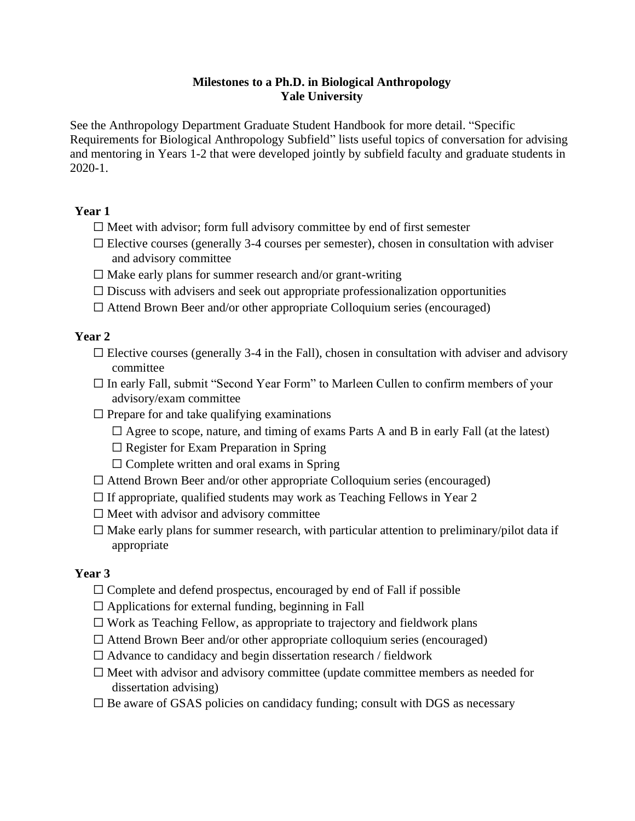#### **Milestones to a Ph.D. in Biological Anthropology Yale University**

See the Anthropology Department Graduate Student Handbook for more detail. "Specific Requirements for Biological Anthropology Subfield" lists useful topics of conversation for advising and mentoring in Years 1-2 that were developed jointly by subfield faculty and graduate students in 2020-1.

## **Year 1**

- $\Box$  Meet with advisor; form full advisory committee by end of first semester
- $\Box$  Elective courses (generally 3-4 courses per semester), chosen in consultation with adviser and advisory committee
- $\Box$  Make early plans for summer research and/or grant-writing
- $\Box$  Discuss with advisers and seek out appropriate professionalization opportunities
- ☐ Attend Brown Beer and/or other appropriate Colloquium series (encouraged)

# **Year 2**

- $\Box$  Elective courses (generally 3-4 in the Fall), chosen in consultation with adviser and advisory committee
- $\Box$  In early Fall, submit "Second Year Form" to Marleen Cullen to confirm members of your advisory/exam committee
- $\Box$  Prepare for and take qualifying examinations
	- $\Box$  Agree to scope, nature, and timing of exams Parts A and B in early Fall (at the latest)
	- $\Box$  Register for Exam Preparation in Spring
	- $\Box$  Complete written and oral exams in Spring
- $\Box$  Attend Brown Beer and/or other appropriate Colloquium series (encouraged)
- $\Box$  If appropriate, qualified students may work as Teaching Fellows in Year 2
- $\Box$  Meet with advisor and advisory committee
- $\Box$  Make early plans for summer research, with particular attention to preliminary/pilot data if appropriate

## **Year 3**

- $\Box$  Complete and defend prospectus, encouraged by end of Fall if possible
- $\Box$  Applications for external funding, beginning in Fall
- $\Box$  Work as Teaching Fellow, as appropriate to trajectory and fieldwork plans
- $\Box$  Attend Brown Beer and/or other appropriate colloquium series (encouraged)
- $\Box$  Advance to candidacy and begin dissertation research / fieldwork
- ☐ Meet with advisor and advisory committee (update committee members as needed for dissertation advising)
- $\Box$  Be aware of GSAS policies on candidacy funding; consult with DGS as necessary